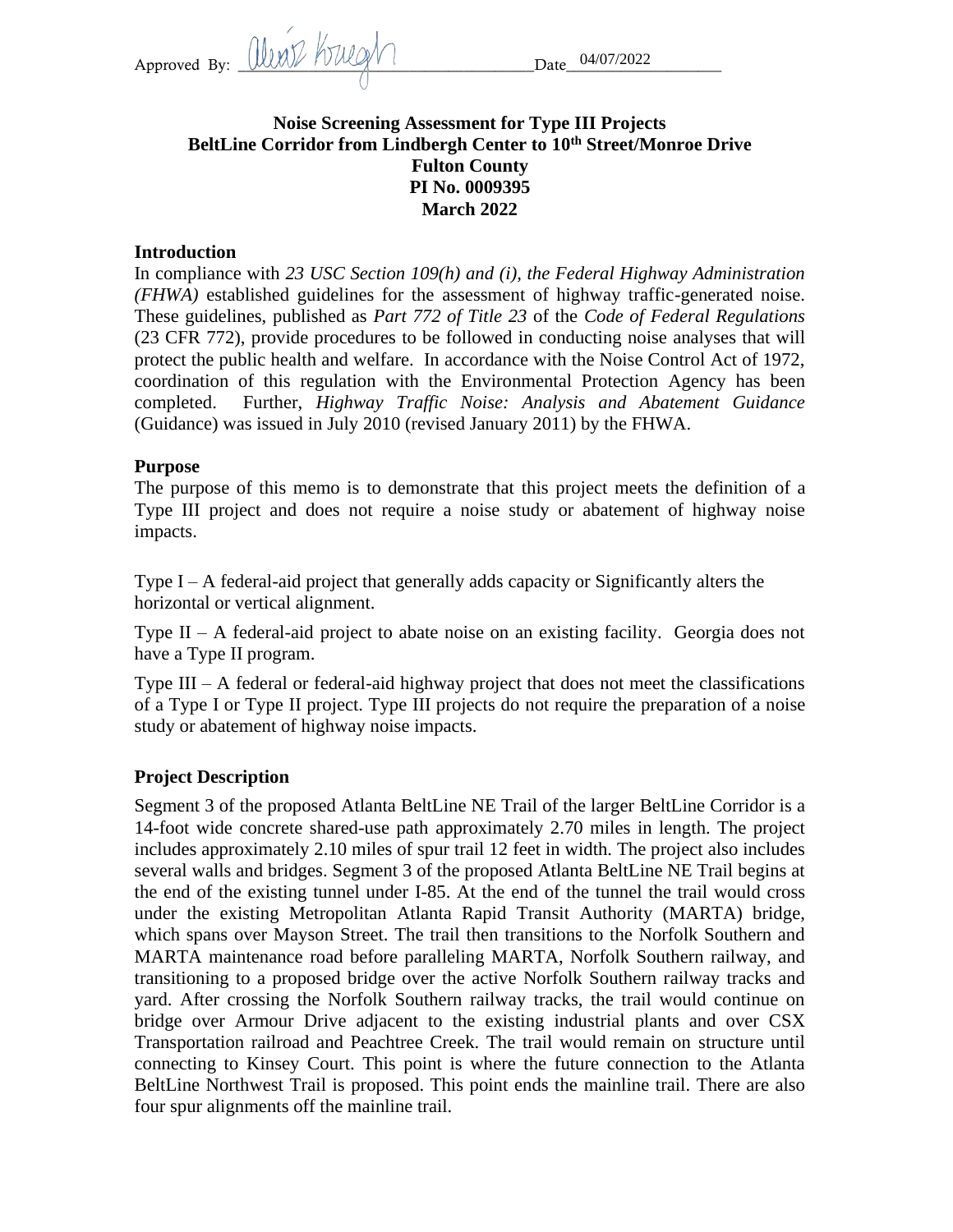Approved By: Weather the Mullet of the Date

# **Noise Screening Assessment for Type III Projects BeltLine Corridor from Lindbergh Center to 10th Street/Monroe Drive Fulton County PI No. 0009395 March 2022**

### **Introduction**

In compliance with *23 USC Section 109(h) and (i), the Federal Highway Administration (FHWA)* established guidelines for the assessment of highway traffic-generated noise. These guidelines, published as *Part 772 of Title 23* of the *Code of Federal Regulations* (23 CFR 772), provide procedures to be followed in conducting noise analyses that will protect the public health and welfare. In accordance with the Noise Control Act of 1972, coordination of this regulation with the Environmental Protection Agency has been completed. Further, *Highway Traffic Noise: Analysis and Abatement Guidance* (Guidance) was issued in July 2010 (revised January 2011) by the FHWA.

#### **Purpose**

The purpose of this memo is to demonstrate that this project meets the definition of a Type III project and does not require a noise study or abatement of highway noise impacts.

Type I – A federal-aid project that generally adds capacity or Significantly alters the horizontal or vertical alignment.

Type  $II - A$  federal-aid project to abate noise on an existing facility. Georgia does not have a Type II program.

Type III – A federal or federal-aid highway project that does not meet the classifications of a Type I or Type II project. Type III projects do not require the preparation of a noise study or abatement of highway noise impacts.

### **Project Description**

Segment 3 of the proposed Atlanta BeltLine NE Trail of the larger BeltLine Corridor is a 14-foot wide concrete shared-use path approximately 2.70 miles in length. The project includes approximately 2.10 miles of spur trail 12 feet in width. The project also includes several walls and bridges. Segment 3 of the proposed Atlanta BeltLine NE Trail begins at the end of the existing tunnel under I-85. At the end of the tunnel the trail would cross under the existing Metropolitan Atlanta Rapid Transit Authority (MARTA) bridge, which spans over Mayson Street. The trail then transitions to the Norfolk Southern and MARTA maintenance road before paralleling MARTA, Norfolk Southern railway, and transitioning to a proposed bridge over the active Norfolk Southern railway tracks and yard. After crossing the Norfolk Southern railway tracks, the trail would continue on bridge over Armour Drive adjacent to the existing industrial plants and over CSX Transportation railroad and Peachtree Creek. The trail would remain on structure until connecting to Kinsey Court. This point is where the future connection to the Atlanta BeltLine Northwest Trail is proposed. This point ends the mainline trail. There are also four spur alignments off the mainline trail.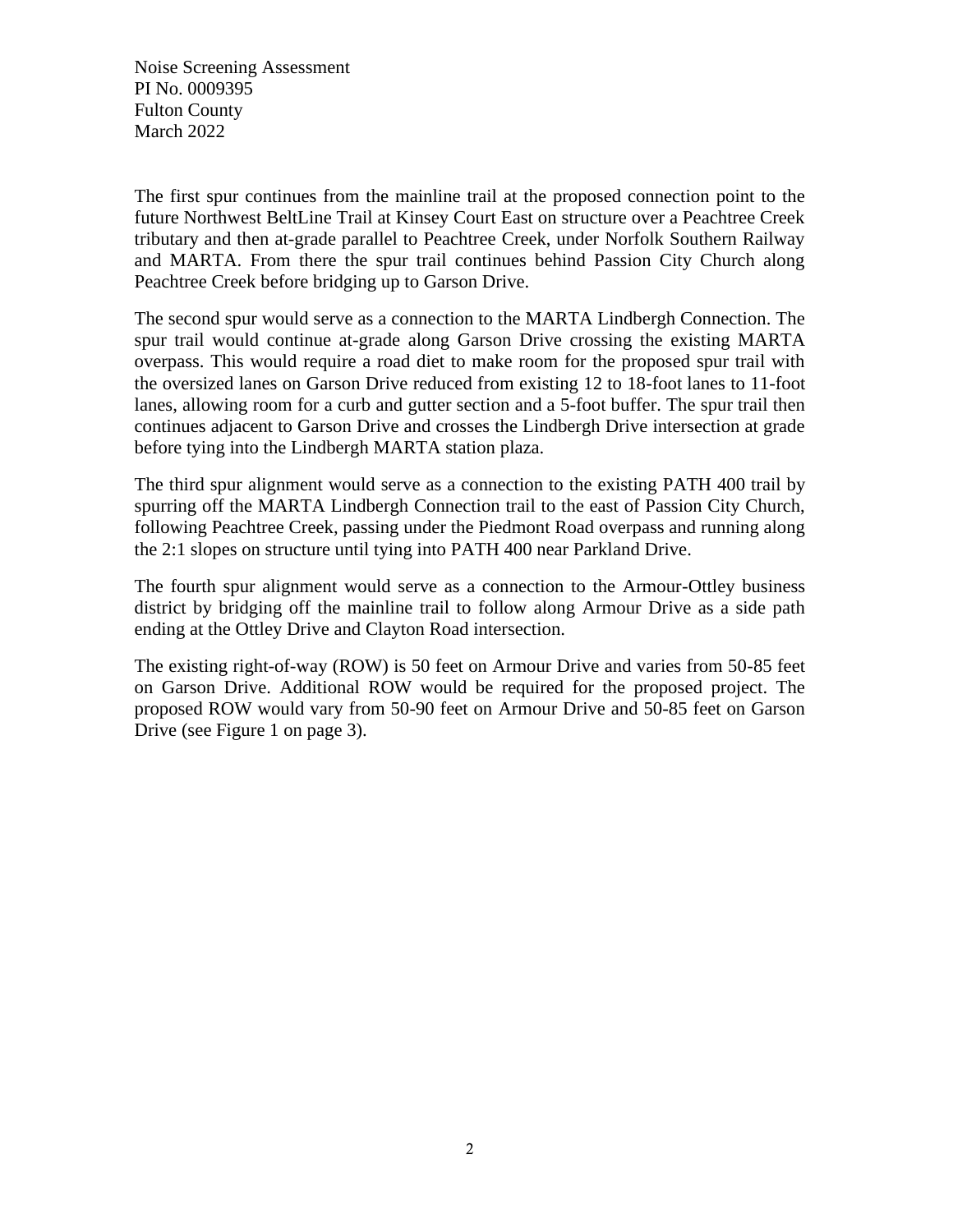Noise Screening Assessment PI No. 0009395 Fulton County March 2022

The first spur continues from the mainline trail at the proposed connection point to the future Northwest BeltLine Trail at Kinsey Court East on structure over a Peachtree Creek tributary and then at-grade parallel to Peachtree Creek, under Norfolk Southern Railway and MARTA. From there the spur trail continues behind Passion City Church along Peachtree Creek before bridging up to Garson Drive.

The second spur would serve as a connection to the MARTA Lindbergh Connection. The spur trail would continue at-grade along Garson Drive crossing the existing MARTA overpass. This would require a road diet to make room for the proposed spur trail with the oversized lanes on Garson Drive reduced from existing 12 to 18-foot lanes to 11-foot lanes, allowing room for a curb and gutter section and a 5-foot buffer. The spur trail then continues adjacent to Garson Drive and crosses the Lindbergh Drive intersection at grade before tying into the Lindbergh MARTA station plaza.

The third spur alignment would serve as a connection to the existing PATH 400 trail by spurring off the MARTA Lindbergh Connection trail to the east of Passion City Church, following Peachtree Creek, passing under the Piedmont Road overpass and running along the 2:1 slopes on structure until tying into PATH 400 near Parkland Drive.

The fourth spur alignment would serve as a connection to the Armour-Ottley business district by bridging off the mainline trail to follow along Armour Drive as a side path ending at the Ottley Drive and Clayton Road intersection.

The existing right-of-way (ROW) is 50 feet on Armour Drive and varies from 50-85 feet on Garson Drive. Additional ROW would be required for the proposed project. The proposed ROW would vary from 50-90 feet on Armour Drive and 50-85 feet on Garson Drive (see Figure 1 on page 3).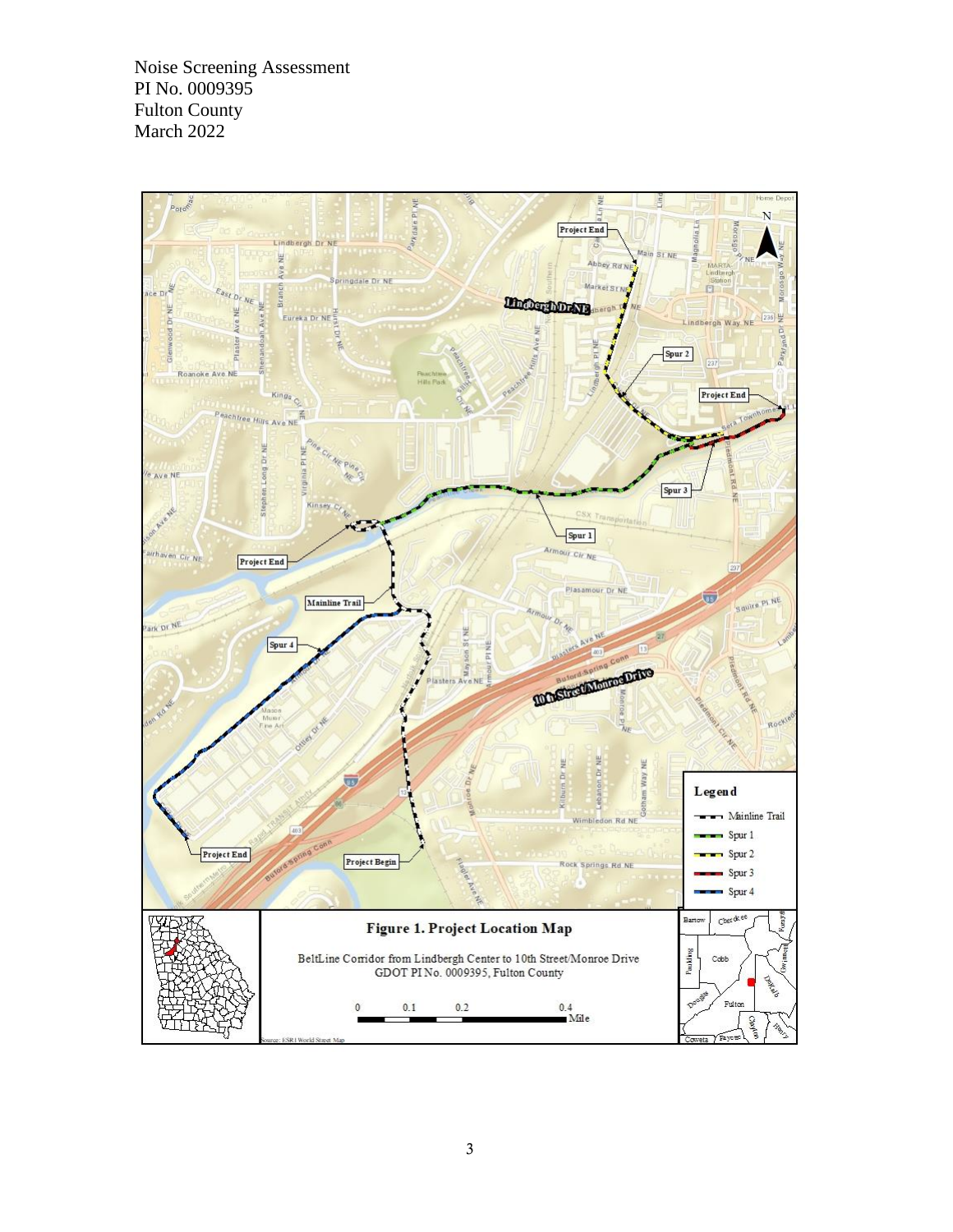Noise Screening Assessment PI No. 0009395 Fulton County March 2022